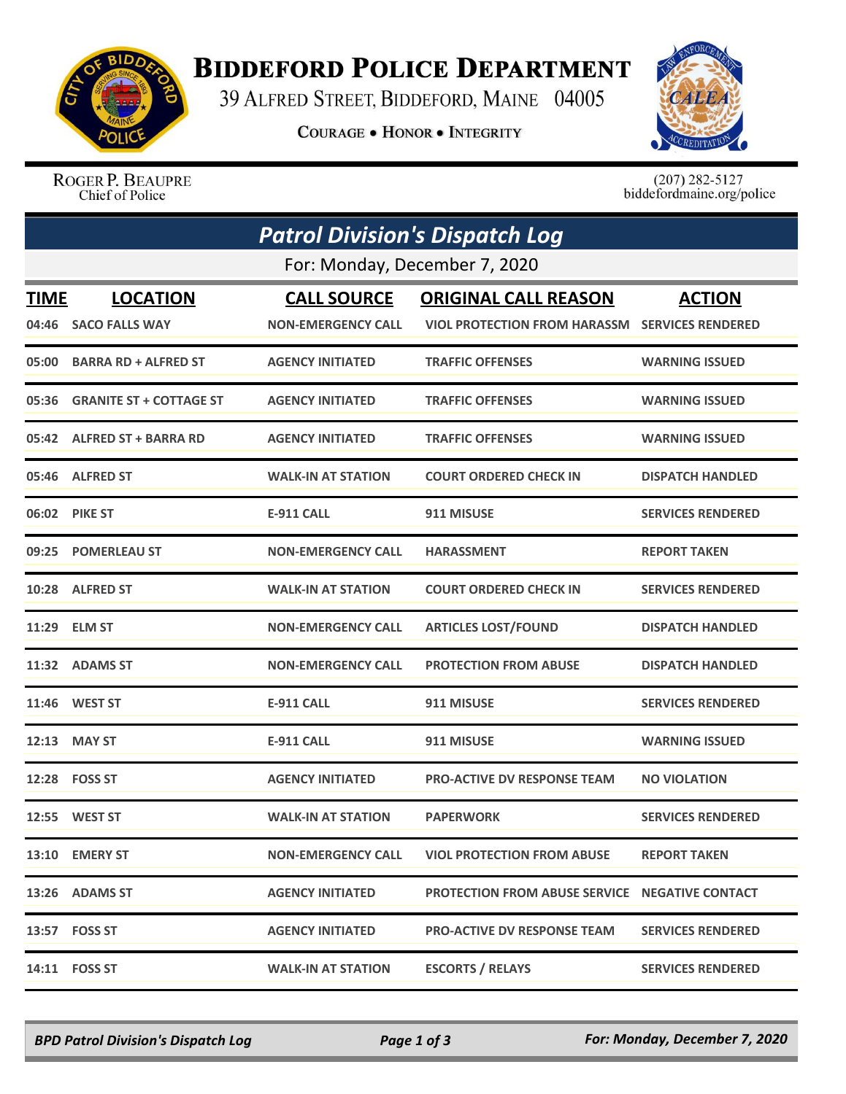

## **BIDDEFORD POLICE DEPARTMENT**

39 ALFRED STREET, BIDDEFORD, MAINE 04005

**COURAGE . HONOR . INTEGRITY** 



ROGER P. BEAUPRE Chief of Police

 $(207)$  282-5127<br>biddefordmaine.org/police

|             | <b>Patrol Division's Dispatch Log</b> |                           |                                                       |                          |  |  |  |  |
|-------------|---------------------------------------|---------------------------|-------------------------------------------------------|--------------------------|--|--|--|--|
|             | For: Monday, December 7, 2020         |                           |                                                       |                          |  |  |  |  |
| <b>TIME</b> | <b>LOCATION</b>                       | <b>CALL SOURCE</b>        | <b>ORIGINAL CALL REASON</b>                           | <b>ACTION</b>            |  |  |  |  |
| 04:46       | <b>SACO FALLS WAY</b>                 | <b>NON-EMERGENCY CALL</b> | <b>VIOL PROTECTION FROM HARASSM</b>                   | <b>SERVICES RENDERED</b> |  |  |  |  |
| 05:00       | <b>BARRA RD + ALFRED ST</b>           | <b>AGENCY INITIATED</b>   | <b>TRAFFIC OFFENSES</b>                               | <b>WARNING ISSUED</b>    |  |  |  |  |
| 05:36       | <b>GRANITE ST + COTTAGE ST</b>        | <b>AGENCY INITIATED</b>   | <b>TRAFFIC OFFENSES</b>                               | <b>WARNING ISSUED</b>    |  |  |  |  |
|             | 05:42 ALFRED ST + BARRA RD            | <b>AGENCY INITIATED</b>   | <b>TRAFFIC OFFENSES</b>                               | <b>WARNING ISSUED</b>    |  |  |  |  |
|             | 05:46 ALFRED ST                       | <b>WALK-IN AT STATION</b> | <b>COURT ORDERED CHECK IN</b>                         | <b>DISPATCH HANDLED</b>  |  |  |  |  |
|             | 06:02 PIKE ST                         | E-911 CALL                | 911 MISUSE                                            | <b>SERVICES RENDERED</b> |  |  |  |  |
| 09:25       | <b>POMERLEAU ST</b>                   | <b>NON-EMERGENCY CALL</b> | <b>HARASSMENT</b>                                     | <b>REPORT TAKEN</b>      |  |  |  |  |
| 10:28       | <b>ALFRED ST</b>                      | <b>WALK-IN AT STATION</b> | <b>COURT ORDERED CHECK IN</b>                         | <b>SERVICES RENDERED</b> |  |  |  |  |
|             | 11:29 ELM ST                          | <b>NON-EMERGENCY CALL</b> | <b>ARTICLES LOST/FOUND</b>                            | <b>DISPATCH HANDLED</b>  |  |  |  |  |
| 11:32       | <b>ADAMS ST</b>                       | <b>NON-EMERGENCY CALL</b> | <b>PROTECTION FROM ABUSE</b>                          | <b>DISPATCH HANDLED</b>  |  |  |  |  |
|             | 11:46 WEST ST                         | <b>E-911 CALL</b>         | 911 MISUSE                                            | <b>SERVICES RENDERED</b> |  |  |  |  |
| 12:13       | <b>MAY ST</b>                         | <b>E-911 CALL</b>         | 911 MISUSE                                            | <b>WARNING ISSUED</b>    |  |  |  |  |
|             | 12:28 FOSS ST                         | <b>AGENCY INITIATED</b>   | <b>PRO-ACTIVE DV RESPONSE TEAM</b>                    | <b>NO VIOLATION</b>      |  |  |  |  |
| 12:55       | <b>WEST ST</b>                        | <b>WALK-IN AT STATION</b> | <b>PAPERWORK</b>                                      | <b>SERVICES RENDERED</b> |  |  |  |  |
|             | 13:10 EMERY ST                        | <b>NON-EMERGENCY CALL</b> | <b>VIOL PROTECTION FROM ABUSE</b>                     | <b>REPORT TAKEN</b>      |  |  |  |  |
|             | 13:26 ADAMS ST                        | <b>AGENCY INITIATED</b>   | <b>PROTECTION FROM ABUSE SERVICE NEGATIVE CONTACT</b> |                          |  |  |  |  |
|             | 13:57 FOSS ST                         | <b>AGENCY INITIATED</b>   | <b>PRO-ACTIVE DV RESPONSE TEAM</b>                    | <b>SERVICES RENDERED</b> |  |  |  |  |
|             | 14:11 FOSS ST                         | <b>WALK-IN AT STATION</b> | <b>ESCORTS / RELAYS</b>                               | <b>SERVICES RENDERED</b> |  |  |  |  |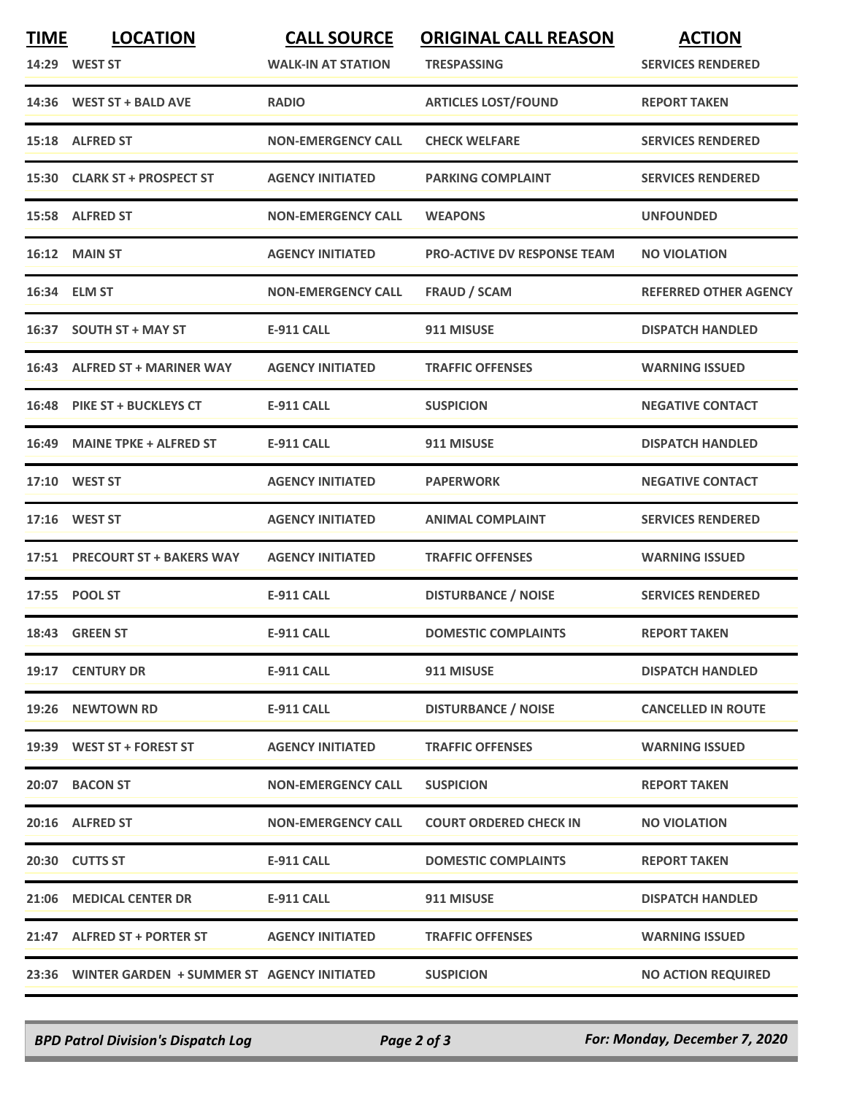| <b>TIME</b> | <b>LOCATION</b><br>14:29 WEST ST                 | <b>CALL SOURCE</b><br><b>WALK-IN AT STATION</b> | <b>ORIGINAL CALL REASON</b><br><b>TRESPASSING</b> | <b>ACTION</b><br><b>SERVICES RENDERED</b> |
|-------------|--------------------------------------------------|-------------------------------------------------|---------------------------------------------------|-------------------------------------------|
|             | 14:36 WEST ST + BALD AVE                         | <b>RADIO</b>                                    | <b>ARTICLES LOST/FOUND</b>                        | <b>REPORT TAKEN</b>                       |
|             | 15:18 ALFRED ST                                  | <b>NON-EMERGENCY CALL</b>                       | <b>CHECK WELFARE</b>                              | <b>SERVICES RENDERED</b>                  |
|             | 15:30 CLARK ST + PROSPECT ST                     | <b>AGENCY INITIATED</b>                         | <b>PARKING COMPLAINT</b>                          | <b>SERVICES RENDERED</b>                  |
|             | 15:58 ALFRED ST                                  | <b>NON-EMERGENCY CALL</b>                       | <b>WEAPONS</b>                                    | <b>UNFOUNDED</b>                          |
|             | 16:12 MAIN ST                                    | <b>AGENCY INITIATED</b>                         | <b>PRO-ACTIVE DV RESPONSE TEAM</b>                | <b>NO VIOLATION</b>                       |
| 16:34       | <b>ELM ST</b>                                    | <b>NON-EMERGENCY CALL</b>                       | <b>FRAUD / SCAM</b>                               | <b>REFERRED OTHER AGENCY</b>              |
|             | 16:37 SOUTH ST + MAY ST                          | <b>E-911 CALL</b>                               | 911 MISUSE                                        | <b>DISPATCH HANDLED</b>                   |
|             | 16:43 ALFRED ST + MARINER WAY                    | <b>AGENCY INITIATED</b>                         | <b>TRAFFIC OFFENSES</b>                           | <b>WARNING ISSUED</b>                     |
| 16:48       | <b>PIKE ST + BUCKLEYS CT</b>                     | <b>E-911 CALL</b>                               | <b>SUSPICION</b>                                  | <b>NEGATIVE CONTACT</b>                   |
|             | 16:49 MAINE TPKE + ALFRED ST                     | E-911 CALL                                      | 911 MISUSE                                        | <b>DISPATCH HANDLED</b>                   |
|             | 17:10 WEST ST                                    | <b>AGENCY INITIATED</b>                         | <b>PAPERWORK</b>                                  | <b>NEGATIVE CONTACT</b>                   |
|             | 17:16 WEST ST                                    | <b>AGENCY INITIATED</b>                         | <b>ANIMAL COMPLAINT</b>                           | <b>SERVICES RENDERED</b>                  |
| 17:51       | <b>PRECOURT ST + BAKERS WAY</b>                  | <b>AGENCY INITIATED</b>                         | <b>TRAFFIC OFFENSES</b>                           | <b>WARNING ISSUED</b>                     |
|             | 17:55 POOL ST                                    | <b>E-911 CALL</b>                               | <b>DISTURBANCE / NOISE</b>                        | <b>SERVICES RENDERED</b>                  |
|             | 18:43 GREEN ST                                   | <b>E-911 CALL</b>                               | <b>DOMESTIC COMPLAINTS</b>                        | <b>REPORT TAKEN</b>                       |
|             | 19:17 CENTURY DR                                 | <b>E-911 CALL</b>                               | 911 MISUSE                                        | <b>DISPATCH HANDLED</b>                   |
|             | 19:26 NEWTOWN RD                                 | <b>E-911 CALL</b>                               | <b>DISTURBANCE / NOISE</b>                        | <b>CANCELLED IN ROUTE</b>                 |
|             | 19:39 WEST ST + FOREST ST                        | <b>AGENCY INITIATED</b>                         | <b>TRAFFIC OFFENSES</b>                           | <b>WARNING ISSUED</b>                     |
|             | 20:07 BACON ST                                   | <b>NON-EMERGENCY CALL</b>                       | <b>SUSPICION</b>                                  | <b>REPORT TAKEN</b>                       |
|             | 20:16 ALFRED ST                                  | <b>NON-EMERGENCY CALL</b>                       | <b>COURT ORDERED CHECK IN</b>                     | <b>NO VIOLATION</b>                       |
|             | 20:30 CUTTS ST                                   | <b>E-911 CALL</b>                               | <b>DOMESTIC COMPLAINTS</b>                        | <b>REPORT TAKEN</b>                       |
|             | 21:06 MEDICAL CENTER DR                          | <b>E-911 CALL</b>                               | 911 MISUSE                                        | <b>DISPATCH HANDLED</b>                   |
|             | 21:47 ALFRED ST + PORTER ST                      | <b>AGENCY INITIATED</b>                         | <b>TRAFFIC OFFENSES</b>                           | <b>WARNING ISSUED</b>                     |
|             | 23:36 WINTER GARDEN + SUMMER ST AGENCY INITIATED |                                                 | <b>SUSPICION</b>                                  | <b>NO ACTION REQUIRED</b>                 |

*BPD Patrol Division's Dispatch Log Page 2 of 3 For: Monday, December 7, 2020*